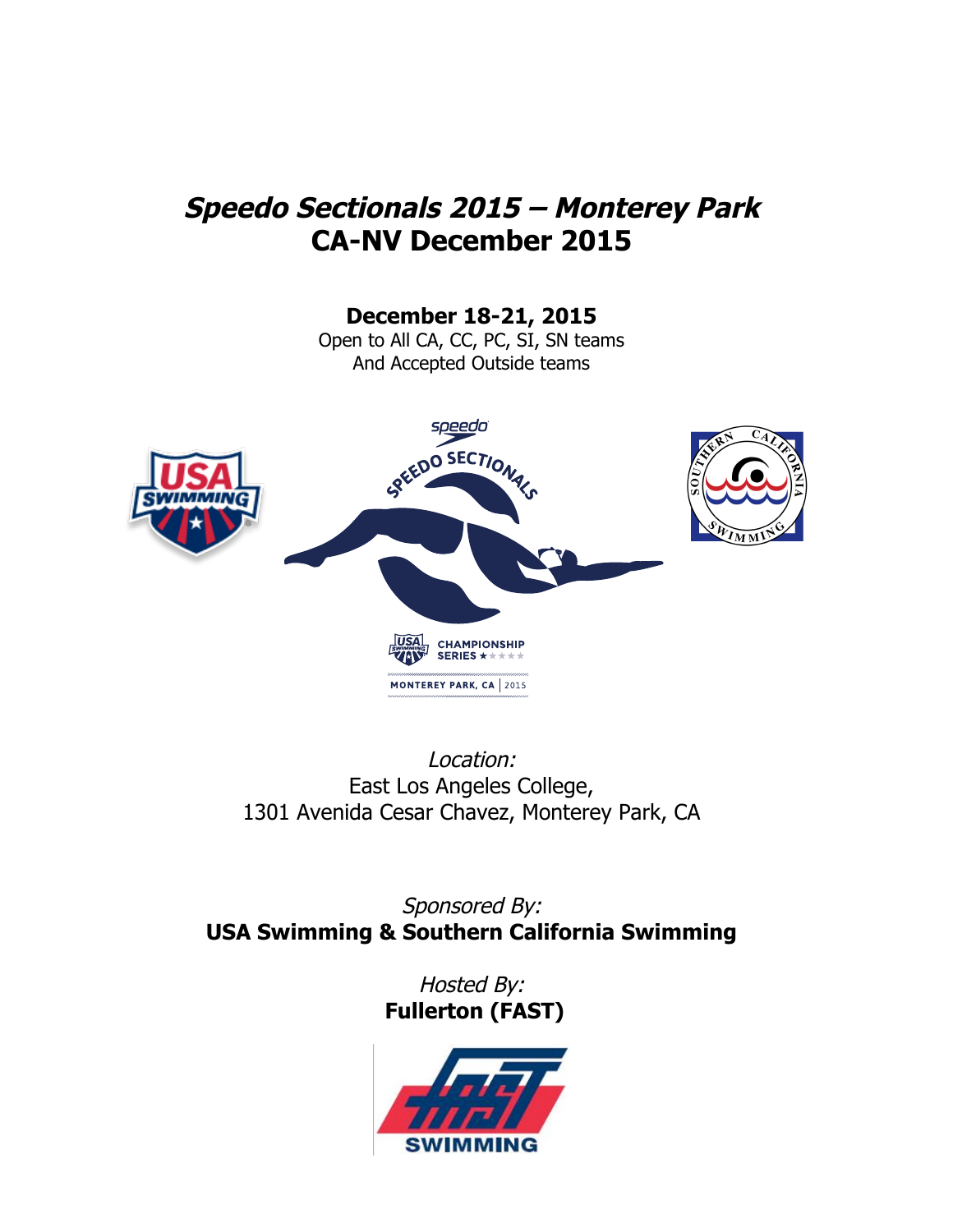# **Speedo Sectionals 2015 – Monterey Park CA-NV December 2015**

**December 18-21, 2015**

Open to All CA, CC, PC, SI, SN teams And Accepted Outside teams



Location: East Los Angeles College, 1301 Avenida Cesar Chavez, Monterey Park, CA

Sponsored By: **USA Swimming & Southern California Swimming**

> Hosted By: **Fullerton (FAST)**

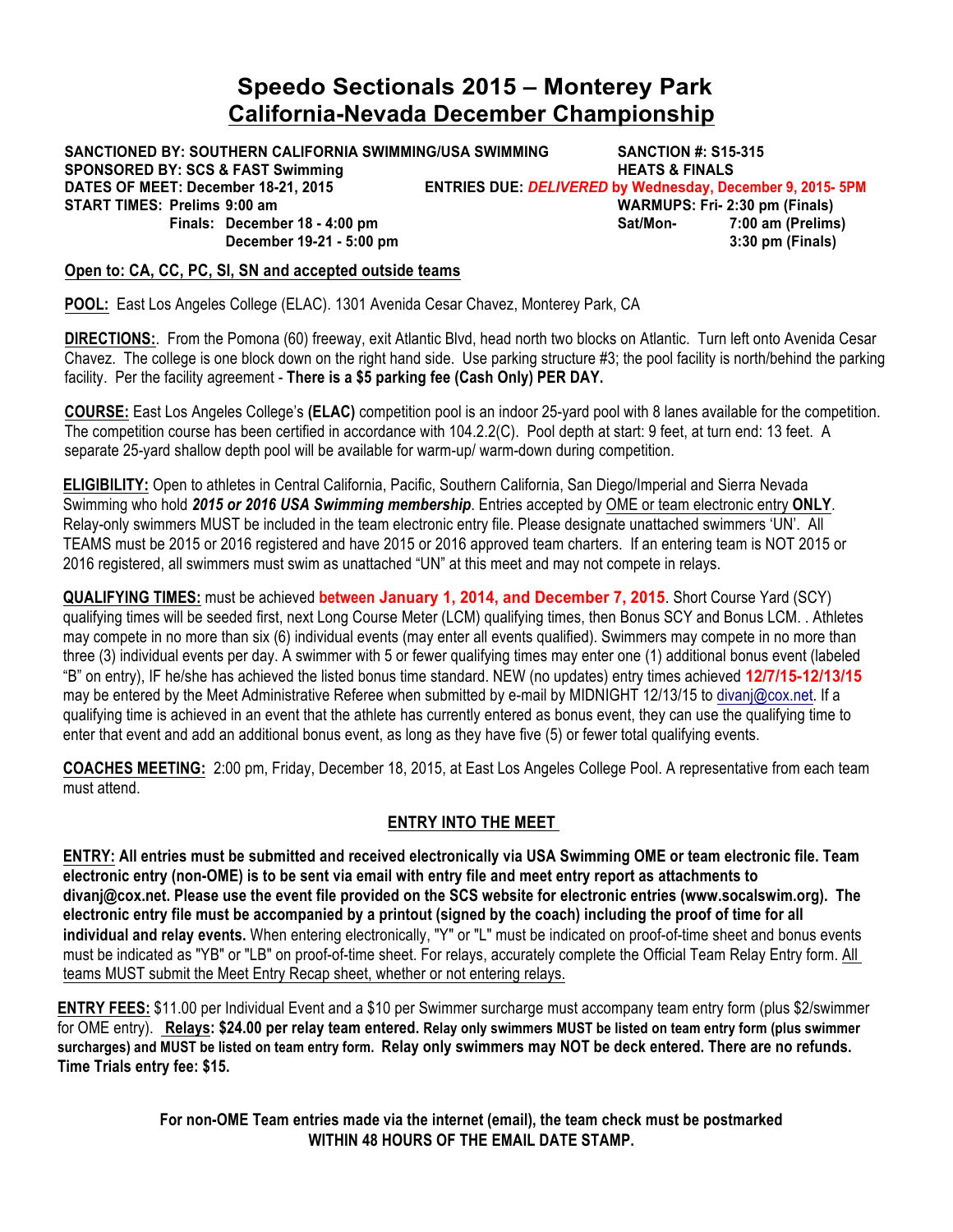# **Speedo Sectionals 2015 – Monterey Park California-Nevada December Championship**

**SANCTIONED BY: SOUTHERN CALIFORNIA SWIMMING/USA SWIMMING SANCTION #: S15-315 SPONSORED BY: SCS & FAST Swimming**  $\blacksquare$  **HEATS & FINALS DATES OF MEET: December 18-21, 2015 ENTRIES DUE:** *DELIVERED* **by Wednesday, December 9, 2015- 5PM START TIMES: Prelims 9:00 am WARMUPS: Fri- 2:30 pm (Finals) Finals: December 18 - 4:00 pm Sat/Mon-December 19-21 - 5:00 pm 3:30 pm (Finals)**

### **Open to: CA, CC, PC, SI, SN and accepted outside teams**

**POOL:** East Los Angeles College (ELAC). 1301 Avenida Cesar Chavez, Monterey Park, CA

**DIRECTIONS:**. From the Pomona (60) freeway, exit Atlantic Blvd, head north two blocks on Atlantic. Turn left onto Avenida Cesar Chavez. The college is one block down on the right hand side. Use parking structure #3; the pool facility is north/behind the parking facility. Per the facility agreement - **There is a \$5 parking fee (Cash Only) PER DAY.** 

**COURSE:** East Los Angeles College's **(ELAC)** competition pool is an indoor 25-yard pool with 8 lanes available for the competition. The competition course has been certified in accordance with 104.2.2(C). Pool depth at start: 9 feet, at turn end: 13 feet. A separate 25-yard shallow depth pool will be available for warm-up/ warm-down during competition.

**ELIGIBILITY:** Open to athletes in Central California, Pacific, Southern California, San Diego/Imperial and Sierra Nevada Swimming who hold *2015 or 2016 USA Swimming membership*. Entries accepted by OME or team electronic entry **ONLY**. Relay-only swimmers MUST be included in the team electronic entry file. Please designate unattached swimmers 'UN'. All TEAMS must be 2015 or 2016 registered and have 2015 or 2016 approved team charters. If an entering team is NOT 2015 or 2016 registered, all swimmers must swim as unattached "UN" at this meet and may not compete in relays.

**QUALIFYING TIMES:** must be achieved **between January 1, 2014, and December 7, 2015**. Short Course Yard (SCY) qualifying times will be seeded first, next Long Course Meter (LCM) qualifying times, then Bonus SCY and Bonus LCM. . Athletes may compete in no more than six (6) individual events (may enter all events qualified). Swimmers may compete in no more than three (3) individual events per day. A swimmer with 5 or fewer qualifying times may enter one (1) additional bonus event (labeled "B" on entry), IF he/she has achieved the listed bonus time standard. NEW (no updates) entry times achieved **12/7/15-12/13/15** may be entered by the Meet Administrative Referee when submitted by e-mail by MIDNIGHT 12/13/15 to divanj@cox.net. If a qualifying time is achieved in an event that the athlete has currently entered as bonus event, they can use the qualifying time to enter that event and add an additional bonus event, as long as they have five (5) or fewer total qualifying events.

**COACHES MEETING:** 2:00 pm, Friday, December 18, 2015, at East Los Angeles College Pool. A representative from each team must attend.

## **ENTRY INTO THE MEET**

**ENTRY: All entries must be submitted and received electronically via USA Swimming OME or team electronic file. Team electronic entry (non-OME) is to be sent via email with entry file and meet entry report as attachments to divanj@cox.net. Please use the event file provided on the SCS website for electronic entries (www.socalswim.org). The electronic entry file must be accompanied by a printout (signed by the coach) including the proof of time for all individual and relay events.** When entering electronically, "Y" or "L" must be indicated on proof-of-time sheet and bonus events must be indicated as "YB" or "LB" on proof-of-time sheet. For relays, accurately complete the Official Team Relay Entry form. All teams MUST submit the Meet Entry Recap sheet, whether or not entering relays.

**ENTRY FEES:** \$11.00 per Individual Event and a \$10 per Swimmer surcharge must accompany team entry form (plus \$2/swimmer for OME entry). **Relays: \$24.00 per relay team entered. Relay only swimmers MUST be listed on team entry form (plus swimmer surcharges) and MUST be listed on team entry form. Relay only swimmers may NOT be deck entered. There are no refunds. Time Trials entry fee: \$15.**

> **For non-OME Team entries made via the internet (email), the team check must be postmarked WITHIN 48 HOURS OF THE EMAIL DATE STAMP.**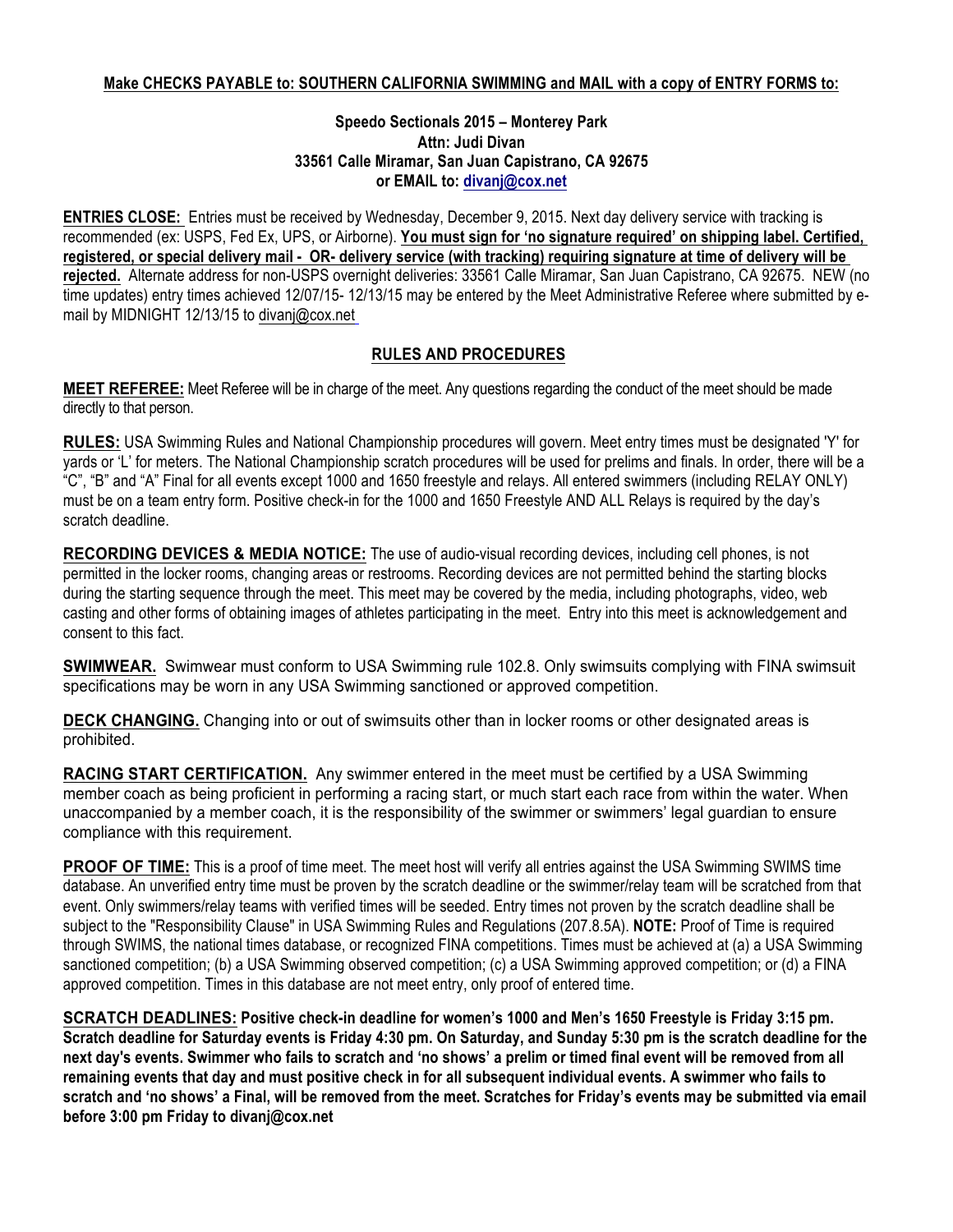### **Speedo Sectionals 2015 – Monterey Park Attn: Judi Divan 33561 Calle Miramar, San Juan Capistrano, CA 92675 or EMAIL to: divanj@cox.net**

**ENTRIES CLOSE:** Entries must be received by Wednesday, December 9, 2015. Next day delivery service with tracking is recommended (ex: USPS, Fed Ex, UPS, or Airborne). **You must sign for 'no signature required' on shipping label. Certified, registered, or special delivery mail - OR- delivery service (with tracking) requiring signature at time of delivery will be rejected.** Alternate address for non-USPS overnight deliveries: 33561 Calle Miramar, San Juan Capistrano, CA 92675. NEW (no time updates) entry times achieved 12/07/15- 12/13/15 may be entered by the Meet Administrative Referee where submitted by email by MIDNIGHT 12/13/15 to divanj@cox.net

# **RULES AND PROCEDURES**

**MEET REFEREE:** Meet Referee will be in charge of the meet. Any questions regarding the conduct of the meet should be made directly to that person.

**RULES:** USA Swimming Rules and National Championship procedures will govern. Meet entry times must be designated 'Y' for yards or 'L' for meters. The National Championship scratch procedures will be used for prelims and finals. In order, there will be a "C", "B" and "A" Final for all events except 1000 and 1650 freestyle and relays. All entered swimmers (including RELAY ONLY) must be on a team entry form. Positive check-in for the 1000 and 1650 Freestyle AND ALL Relays is required by the day's scratch deadline.

**RECORDING DEVICES & MEDIA NOTICE:** The use of audio-visual recording devices, including cell phones, is not permitted in the locker rooms, changing areas or restrooms. Recording devices are not permitted behind the starting blocks during the starting sequence through the meet. This meet may be covered by the media, including photographs, video, web casting and other forms of obtaining images of athletes participating in the meet. Entry into this meet is acknowledgement and consent to this fact.

**SWIMWEAR.** Swimwear must conform to USA Swimming rule 102.8. Only swimsuits complying with FINA swimsuit specifications may be worn in any USA Swimming sanctioned or approved competition.

**DECK CHANGING.** Changing into or out of swimsuits other than in locker rooms or other designated areas is prohibited.

**RACING START CERTIFICATION.** Any swimmer entered in the meet must be certified by a USA Swimming member coach as being proficient in performing a racing start, or much start each race from within the water. When unaccompanied by a member coach, it is the responsibility of the swimmer or swimmers' legal guardian to ensure compliance with this requirement.

**PROOF OF TIME:** This is a proof of time meet. The meet host will verify all entries against the USA Swimming SWIMS time database. An unverified entry time must be proven by the scratch deadline or the swimmer/relay team will be scratched from that event. Only swimmers/relay teams with verified times will be seeded. Entry times not proven by the scratch deadline shall be subject to the "Responsibility Clause" in USA Swimming Rules and Regulations (207.8.5A). **NOTE:** Proof of Time is required through SWIMS, the national times database, or recognized FINA competitions. Times must be achieved at (a) a USA Swimming sanctioned competition; (b) a USA Swimming observed competition; (c) a USA Swimming approved competition; or (d) a FINA approved competition. Times in this database are not meet entry, only proof of entered time.

**SCRATCH DEADLINES: Positive check-in deadline for women's 1000 and Men's 1650 Freestyle is Friday 3:15 pm. Scratch deadline for Saturday events is Friday 4:30 pm. On Saturday, and Sunday 5:30 pm is the scratch deadline for the next day's events. Swimmer who fails to scratch and 'no shows' a prelim or timed final event will be removed from all remaining events that day and must positive check in for all subsequent individual events. A swimmer who fails to scratch and 'no shows' a Final, will be removed from the meet. Scratches for Friday's events may be submitted via email before 3:00 pm Friday to divanj@cox.net**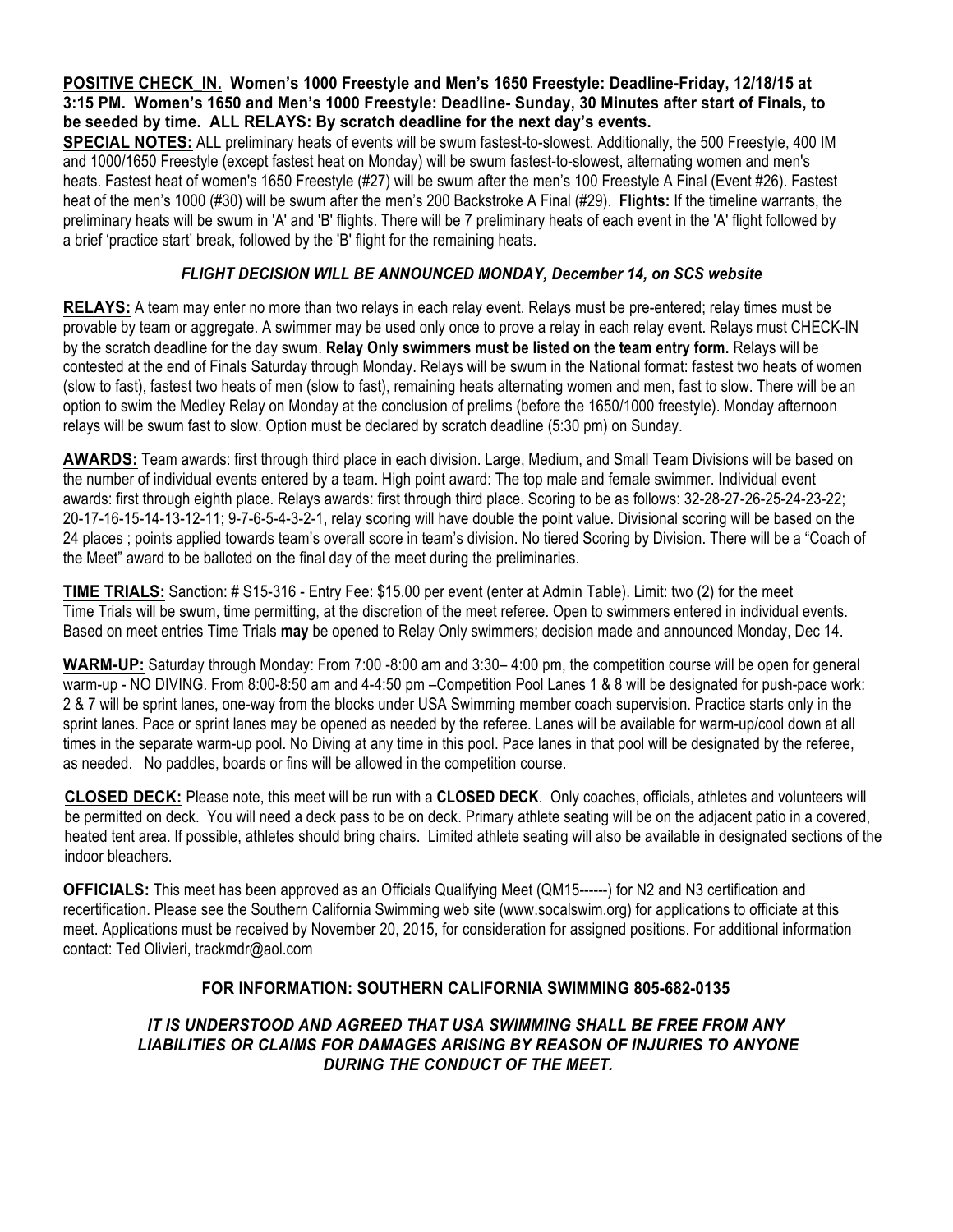**POSITIVE CHECK\_IN. Women's 1000 Freestyle and Men's 1650 Freestyle: Deadline-Friday, 12/18/15 at 3:15 PM. Women's 1650 and Men's 1000 Freestyle: Deadline- Sunday, 30 Minutes after start of Finals, to be seeded by time. ALL RELAYS: By scratch deadline for the next day's events.** 

**SPECIAL NOTES:** ALL preliminary heats of events will be swum fastest-to-slowest. Additionally, the 500 Freestyle, 400 IM and 1000/1650 Freestyle (except fastest heat on Monday) will be swum fastest-to-slowest, alternating women and men's heats. Fastest heat of women's 1650 Freestyle (#27) will be swum after the men's 100 Freestyle A Final (Event #26). Fastest heat of the men's 1000 (#30) will be swum after the men's 200 Backstroke A Final (#29). **Flights:** If the timeline warrants, the preliminary heats will be swum in 'A' and 'B' flights. There will be 7 preliminary heats of each event in the 'A' flight followed by a brief 'practice start' break, followed by the 'B' flight for the remaining heats.

## *FLIGHT DECISION WILL BE ANNOUNCED MONDAY, December 14, on SCS website*

**RELAYS:** A team may enter no more than two relays in each relay event. Relays must be pre-entered; relay times must be provable by team or aggregate. A swimmer may be used only once to prove a relay in each relay event. Relays must CHECK-IN by the scratch deadline for the day swum. **Relay Only swimmers must be listed on the team entry form.** Relays will be contested at the end of Finals Saturday through Monday. Relays will be swum in the National format: fastest two heats of women (slow to fast), fastest two heats of men (slow to fast), remaining heats alternating women and men, fast to slow. There will be an option to swim the Medley Relay on Monday at the conclusion of prelims (before the 1650/1000 freestyle). Monday afternoon relays will be swum fast to slow. Option must be declared by scratch deadline (5:30 pm) on Sunday.

**AWARDS:** Team awards: first through third place in each division. Large, Medium, and Small Team Divisions will be based on the number of individual events entered by a team. High point award: The top male and female swimmer. Individual event awards: first through eighth place. Relays awards: first through third place. Scoring to be as follows: 32-28-27-26-25-24-23-22; 20-17-16-15-14-13-12-11; 9-7-6-5-4-3-2-1, relay scoring will have double the point value. Divisional scoring will be based on the 24 places ; points applied towards team's overall score in team's division. No tiered Scoring by Division. There will be a "Coach of the Meet" award to be balloted on the final day of the meet during the preliminaries.

**TIME TRIALS:** Sanction: # S15-316 - Entry Fee: \$15.00 per event (enter at Admin Table). Limit: two (2) for the meet Time Trials will be swum, time permitting, at the discretion of the meet referee. Open to swimmers entered in individual events. Based on meet entries Time Trials **may** be opened to Relay Only swimmers; decision made and announced Monday, Dec 14.

**WARM-UP:** Saturday through Monday: From 7:00 -8:00 am and 3:30– 4:00 pm, the competition course will be open for general warm-up - NO DIVING. From 8:00-8:50 am and 4-4:50 pm –Competition Pool Lanes 1 & 8 will be designated for push-pace work: 2 & 7 will be sprint lanes, one-way from the blocks under USA Swimming member coach supervision. Practice starts only in the sprint lanes. Pace or sprint lanes may be opened as needed by the referee. Lanes will be available for warm-up/cool down at all times in the separate warm-up pool. No Diving at any time in this pool. Pace lanes in that pool will be designated by the referee, as needed. No paddles, boards or fins will be allowed in the competition course.

**CLOSED DECK:** Please note, this meet will be run with a **CLOSED DECK**. Only coaches, officials, athletes and volunteers will be permitted on deck. You will need a deck pass to be on deck. Primary athlete seating will be on the adjacent patio in a covered, heated tent area. If possible, athletes should bring chairs. Limited athlete seating will also be available in designated sections of the indoor bleachers.

**OFFICIALS:** This meet has been approved as an Officials Qualifying Meet (QM15------) for N2 and N3 certification and recertification. Please see the Southern California Swimming web site (www.socalswim.org) for applications to officiate at this meet. Applications must be received by November 20, 2015, for consideration for assigned positions. For additional information contact: Ted Olivieri, trackmdr@aol.com

## **FOR INFORMATION: SOUTHERN CALIFORNIA SWIMMING 805-682-0135**

*IT IS UNDERSTOOD AND AGREED THAT USA SWIMMING SHALL BE FREE FROM ANY LIABILITIES OR CLAIMS FOR DAMAGES ARISING BY REASON OF INJURIES TO ANYONE DURING THE CONDUCT OF THE MEET.*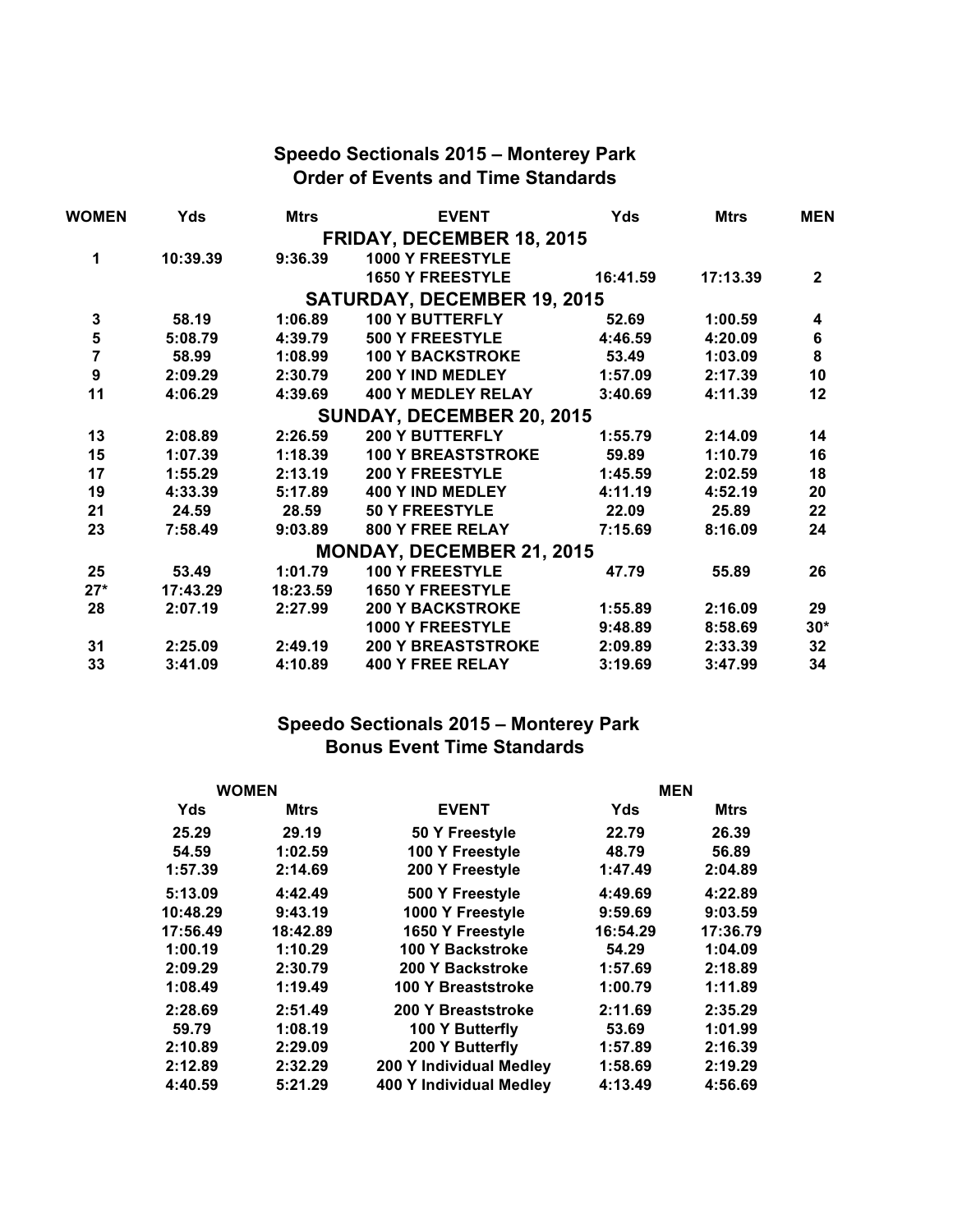# **Speedo Sectionals 2015 – Monterey Park Order of Events and Time Standards**

| <b>WOMEN</b>     | Yds      | <b>Mtrs</b> | <b>EVENT</b>                       | Yds      | <b>Mtrs</b> | <b>MEN</b>     |
|------------------|----------|-------------|------------------------------------|----------|-------------|----------------|
|                  |          |             | <b>FRIDAY, DECEMBER 18, 2015</b>   |          |             |                |
| 1                | 10:39.39 | 9:36.39     | 1000 Y FREESTYLE                   |          |             |                |
|                  |          |             | <b>1650 Y FREESTYLE</b>            | 16:41.59 | 17:13.39    | $\overline{2}$ |
|                  |          |             | <b>SATURDAY, DECEMBER 19, 2015</b> |          |             |                |
| 3                | 58.19    | 1:06.89     | <b>100 Y BUTTERFLY</b>             | 52.69    | 1:00.59     | 4              |
| 5                | 5:08.79  | 4:39.79     | <b>500 Y FREESTYLE</b>             | 4:46.59  | 4:20.09     | 6              |
| $\overline{7}$   | 58.99    | 1:08.99     | <b>100 Y BACKSTROKE</b>            | 53.49    | 1:03.09     | 8              |
| $\boldsymbol{9}$ | 2:09.29  | 2:30.79     | 200 Y IND MEDLEY                   | 1:57.09  | 2:17.39     | 10             |
| 11               | 4:06.29  | 4:39.69     | <b>400 Y MEDLEY RELAY</b>          | 3:40.69  | 4:11.39     | 12             |
|                  |          |             | SUNDAY, DECEMBER 20, 2015          |          |             |                |
| 13               | 2:08.89  | 2:26.59     | <b>200 Y BUTTERFLY</b>             | 1:55.79  | 2:14.09     | 14             |
| 15               | 1:07.39  | 1:18.39     | <b>100 Y BREASTSTROKE</b>          | 59.89    | 1:10.79     | 16             |
| 17               | 1:55.29  | 2:13.19     | <b>200 Y FREESTYLE</b>             | 1:45.59  | 2:02.59     | 18             |
| 19               | 4:33.39  | 5:17.89     | 400 Y IND MEDLEY                   | 4:11.19  | 4:52.19     | 20             |
| 21               | 24.59    | 28.59       | <b>50 Y FREESTYLE</b>              | 22.09    | 25.89       | 22             |
| 23               | 7:58.49  | 9:03.89     | <b>800 Y FREE RELAY</b>            | 7:15.69  | 8:16.09     | 24             |
|                  |          |             | <b>MONDAY, DECEMBER 21, 2015</b>   |          |             |                |
| 25               | 53.49    | 1:01.79     | 100 Y FREESTYLE                    | 47.79    | 55.89       | 26             |
| $27*$            | 17:43.29 | 18:23.59    | <b>1650 Y FREESTYLE</b>            |          |             |                |
| 28               | 2:07.19  | 2:27.99     | <b>200 Y BACKSTROKE</b>            | 1:55.89  | 2:16.09     | 29             |
|                  |          |             | <b>1000 Y FREESTYLE</b>            | 9:48.89  | 8:58.69     | $30*$          |
| 31               | 2:25.09  | 2:49.19     | <b>200 Y BREASTSTROKE</b>          | 2:09.89  | 2:33.39     | 32             |
| 33               | 3:41.09  | 4:10.89     | <b>400 Y FREE RELAY</b>            | 3:19.69  | 3:47.99     | 34             |

## **Speedo Sectionals 2015 – Monterey Park Bonus Event Time Standards**

| <b>WOMEN</b> |             |                           | <b>MEN</b> |             |
|--------------|-------------|---------------------------|------------|-------------|
| Yds          | <b>Mtrs</b> | <b>EVENT</b>              | Yds        | <b>Mtrs</b> |
| 25.29        | 29.19       | 50 Y Freestyle            | 22.79      | 26.39       |
| 54.59        | 1:02.59     | 100 Y Freestyle           | 48.79      | 56.89       |
| 1:57.39      | 2:14.69     | 200 Y Freestyle           | 1:47.49    | 2:04.89     |
| 5:13.09      | 4:42.49     | 500 Y Freestyle           | 4:49.69    | 4:22.89     |
| 10:48.29     | 9:43.19     | 1000 Y Freestyle          | 9:59.69    | 9:03.59     |
| 17:56.49     | 18:42.89    | 1650 Y Freestyle          | 16:54.29   | 17:36.79    |
| 1:00.19      | 1:10.29     | 100 Y Backstroke          | 54.29      | 1:04.09     |
| 2:09.29      | 2:30.79     | 200 Y Backstroke          | 1:57.69    | 2:18.89     |
| 1:08.49      | 1:19.49     | 100 Y Breaststroke        | 1:00.79    | 1:11.89     |
| 2:28.69      | 2:51.49     | <b>200 Y Breaststroke</b> | 2:11.69    | 2:35.29     |
| 59.79        | 1:08.19     | 100 Y Butterfly           | 53.69      | 1:01.99     |
| 2:10.89      | 2:29.09     | 200 Y Butterfly           | 1:57.89    | 2:16.39     |
| 2:12.89      | 2:32.29     | 200 Y Individual Medley   | 1:58.69    | 2:19.29     |
| 4:40.59      | 5:21.29     | 400 Y Individual Medley   | 4:13.49    | 4:56.69     |
|              |             |                           |            |             |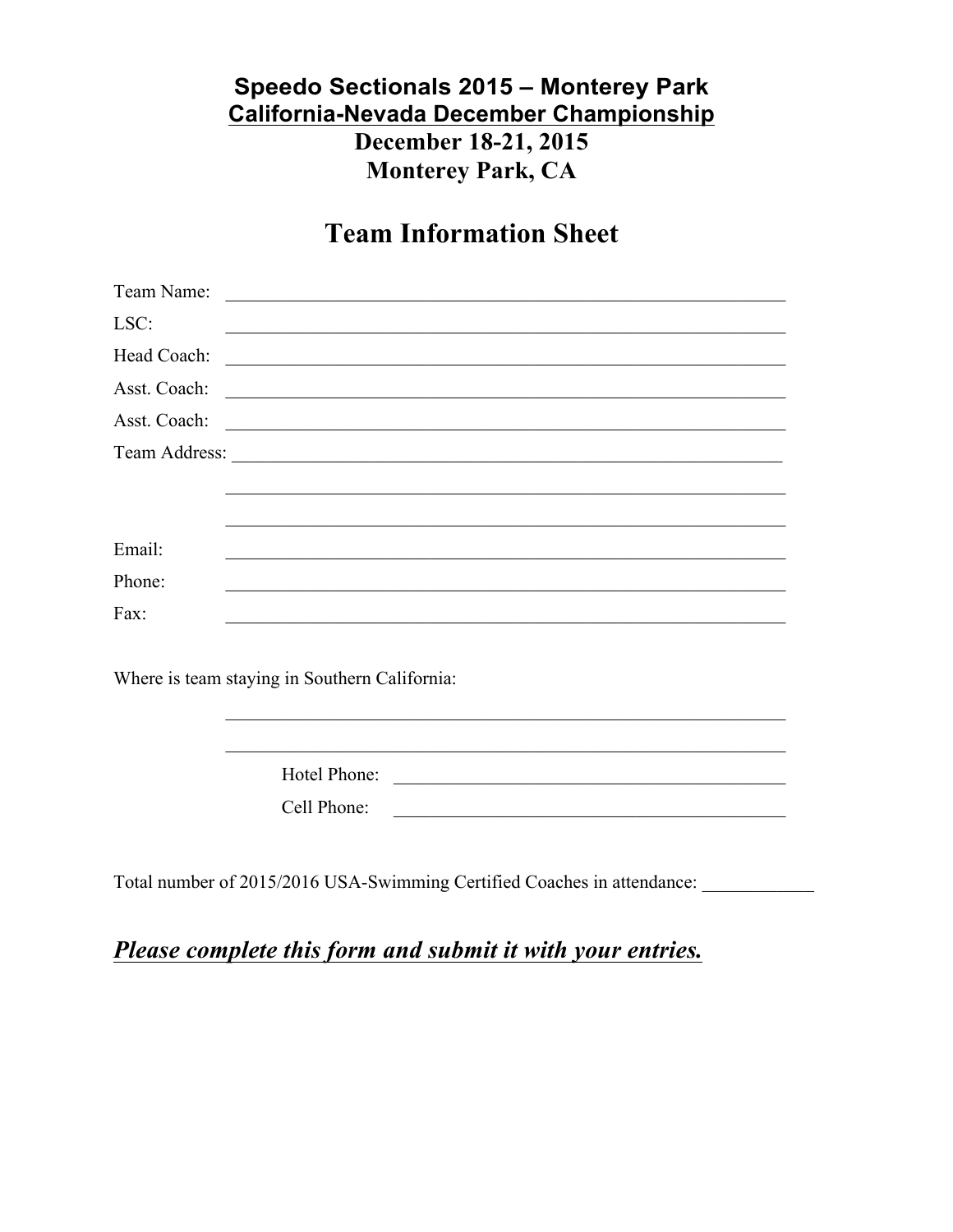# Speedo Sectionals 2015 - Monterey Park **California-Nevada December Championship** December 18-21, 2015 **Monterey Park, CA**

# **Team Information Sheet**

| LSC:        | <u> 1999 - Johann John Stone, Amerikaansk politiker (d. 1989)</u> |
|-------------|-------------------------------------------------------------------|
| Head Coach: |                                                                   |
|             |                                                                   |
|             |                                                                   |
|             |                                                                   |
|             |                                                                   |
|             |                                                                   |
| Email:      |                                                                   |
| Phone:      |                                                                   |
| Fax:        |                                                                   |
|             |                                                                   |
|             | Where is team staying in Southern California:                     |

Hotel Phone: Cell Phone:

<u> 1989 - Johann Barbara, martin din bashkar (b. 1989)</u>

Total number of 2015/2016 USA-Swimming Certified Coaches in attendance:

# Please complete this form and submit it with your entries.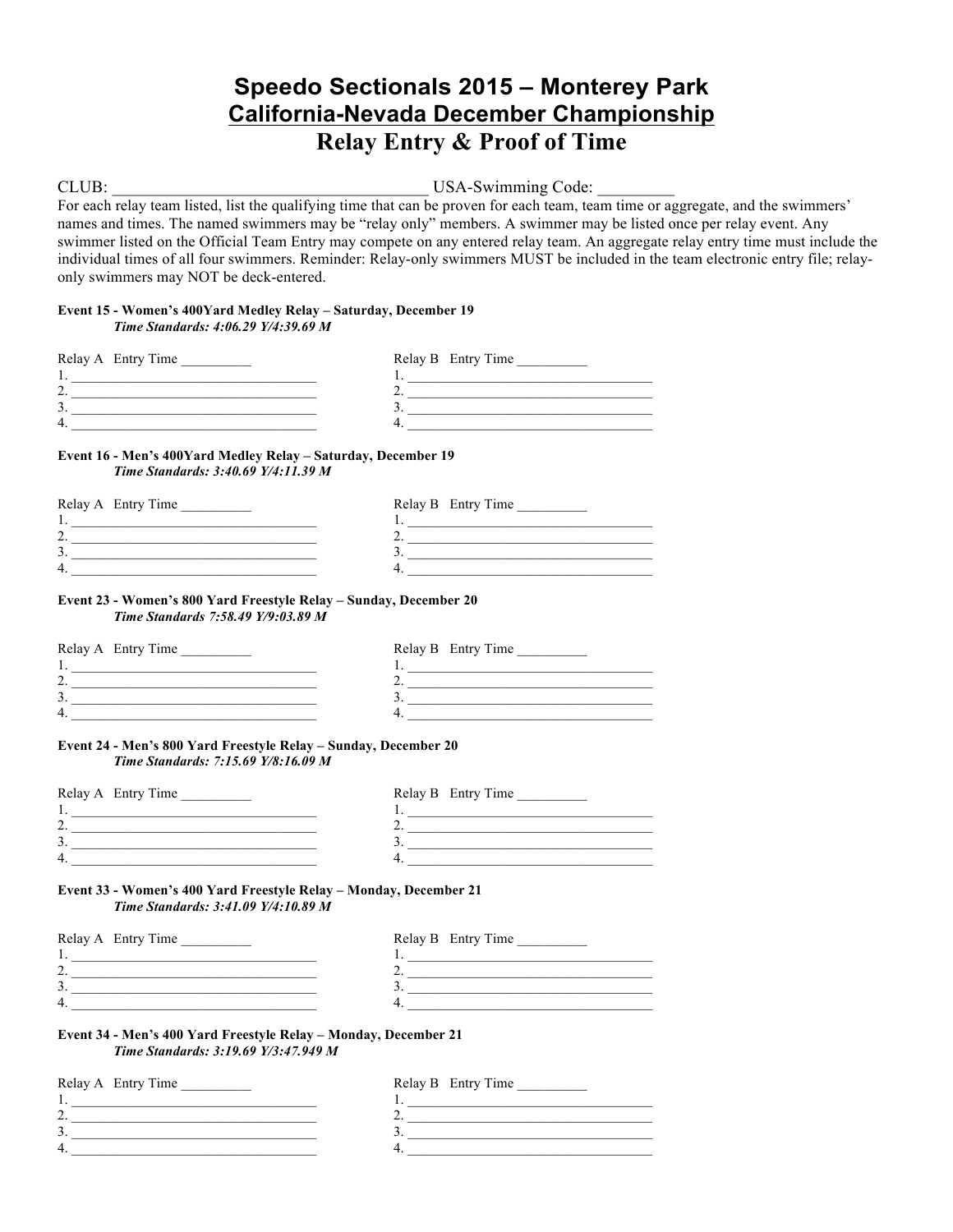# **Speedo Sectionals 2015 – Monterey Park California-Nevada December Championship Relay Entry & Proof of Time**

CLUB: USA-Swimming Code:

For each relay team listed, list the qualifying time that can be proven for each team, team time or aggregate, and the swimmers' names and times. The named swimmers may be "relay only" members. A swimmer may be listed once per relay event. Any swimmer listed on the Official Team Entry may compete on any entered relay team. An aggregate relay entry time must include the individual times of all four swimmers. Reminder: Relay-only swimmers MUST be included in the team electronic entry file; relayonly swimmers may NOT be deck-entered.

### **Event 15 - Women's 400Yard Medley Relay – Saturday, December 19** *Time Standards: 4:06.29 Y/4:39.69 M*

| Relay A Entry Time | Relay B Entry Time |
|--------------------|--------------------|
|                    |                    |
|                    |                    |
|                    |                    |
| Δ                  |                    |

### **Event 16 - Men's 400Yard Medley Relay – Saturday, December 19** *Time Standards: 3:40.69 Y/4:11.39 M*

| Relay A Entry Time | Relay B Entry Time |
|--------------------|--------------------|
|                    |                    |
| <u>.</u>           |                    |
| J .                |                    |
| 4.                 |                    |
|                    |                    |

### **Event 23 - Women's 800 Yard Freestyle Relay – Sunday, December 20** *Time Standards 7:58.49 Y/9:03.89 M*

| Relay A Entry Time | Relay B Entry Time |
|--------------------|--------------------|
|                    |                    |
|                    |                    |
|                    |                    |
|                    |                    |

### **Event 24 - Men's 800 Yard Freestyle Relay – Sunday, December 20** *Time Standards: 7:15.69 Y/8:16.09 M*

| Relay B Entry Time<br>Relay A Entry Time |  |
|------------------------------------------|--|
|                                          |  |
|                                          |  |
|                                          |  |
|                                          |  |

### **Event 33 - Women's 400 Yard Freestyle Relay – Monday, December 21** *Time Standards: 3:41.09 Y/4:10.89 M*

| Relay A Entry Time | Relay B Entry Time |
|--------------------|--------------------|
|                    |                    |
|                    |                    |
| J.,                |                    |
| 4                  |                    |

### **Event 34 - Men's 400 Yard Freestyle Relay – Monday, December 21** *Time Standards: 3:19.69 Y/3:47.949 M*

| Relay A Entry Time | Relay B Entry Time |
|--------------------|--------------------|
|                    |                    |
|                    |                    |
|                    |                    |
|                    |                    |
|                    |                    |

| Relay B Entry Time |  |
|--------------------|--|
|                    |  |
|                    |  |
|                    |  |
|                    |  |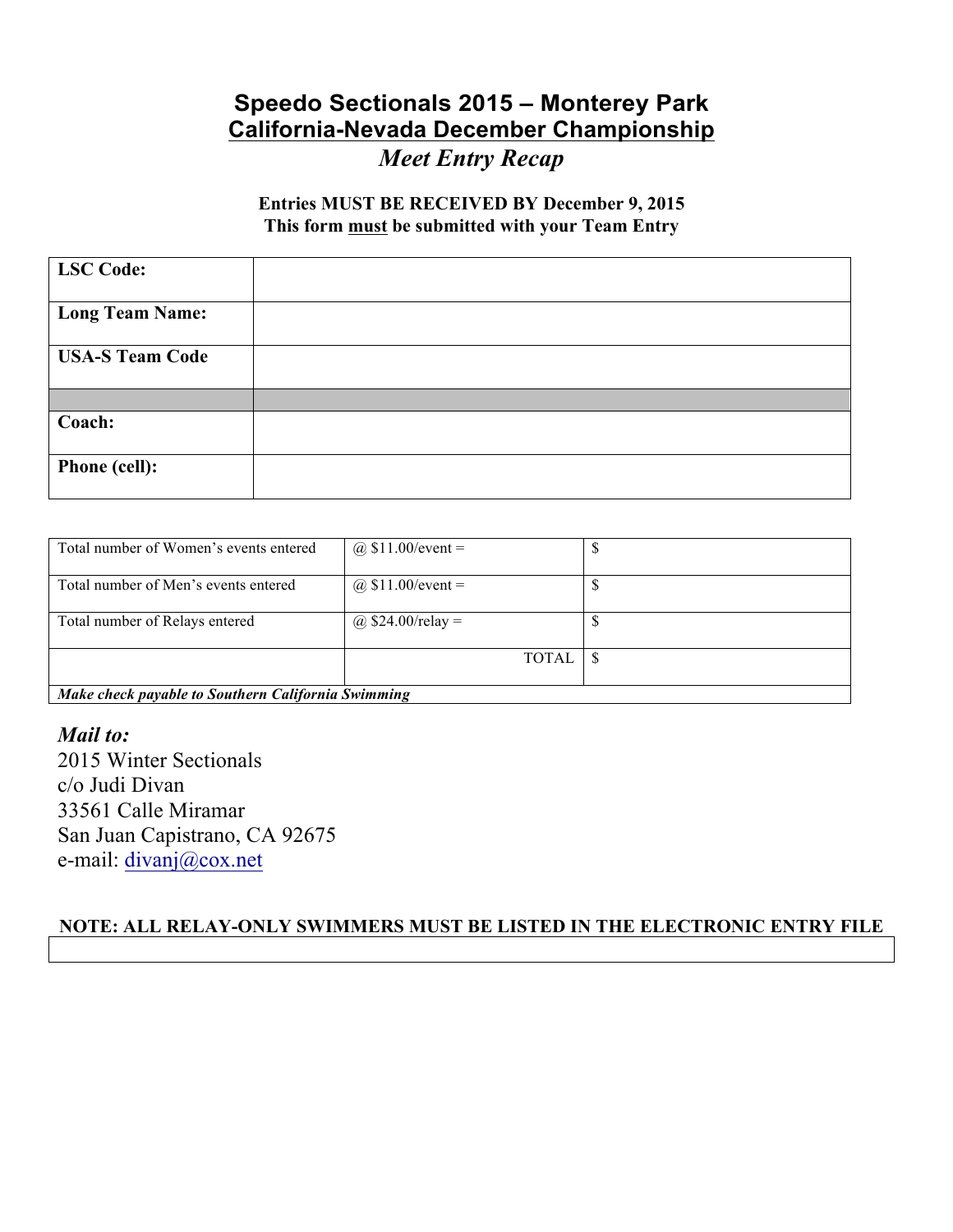# **Speedo Sectionals 2015 – Monterey Park California-Nevada December Championship** *Meet Entry Recap*

# **Entries MUST BE RECEIVED BY December 9, 2015 This form must be submitted with your Team Entry**

| <b>LSC</b> Code:       |  |
|------------------------|--|
| <b>Long Team Name:</b> |  |
| <b>USA-S Team Code</b> |  |
|                        |  |
| Coach:                 |  |
| <b>Phone (cell):</b>   |  |

| Total number of Women's events entered             | @ $$11.00/event =$  |  |  |
|----------------------------------------------------|---------------------|--|--|
|                                                    |                     |  |  |
| Total number of Men's events entered               | @ $$11.00/event =$  |  |  |
| Total number of Relays entered                     | @ $$24.00$ /relay = |  |  |
|                                                    | <b>TOTAL</b>        |  |  |
| Make check payable to Southern California Swimming |                     |  |  |

*Mail to:* 2015 Winter Sectionals c/o Judi Divan 33561 Calle Miramar San Juan Capistrano, CA 92675 e-mail: divanj@cox.net

# **NOTE: ALL RELAY-ONLY SWIMMERS MUST BE LISTED IN THE ELECTRONIC ENTRY FILE**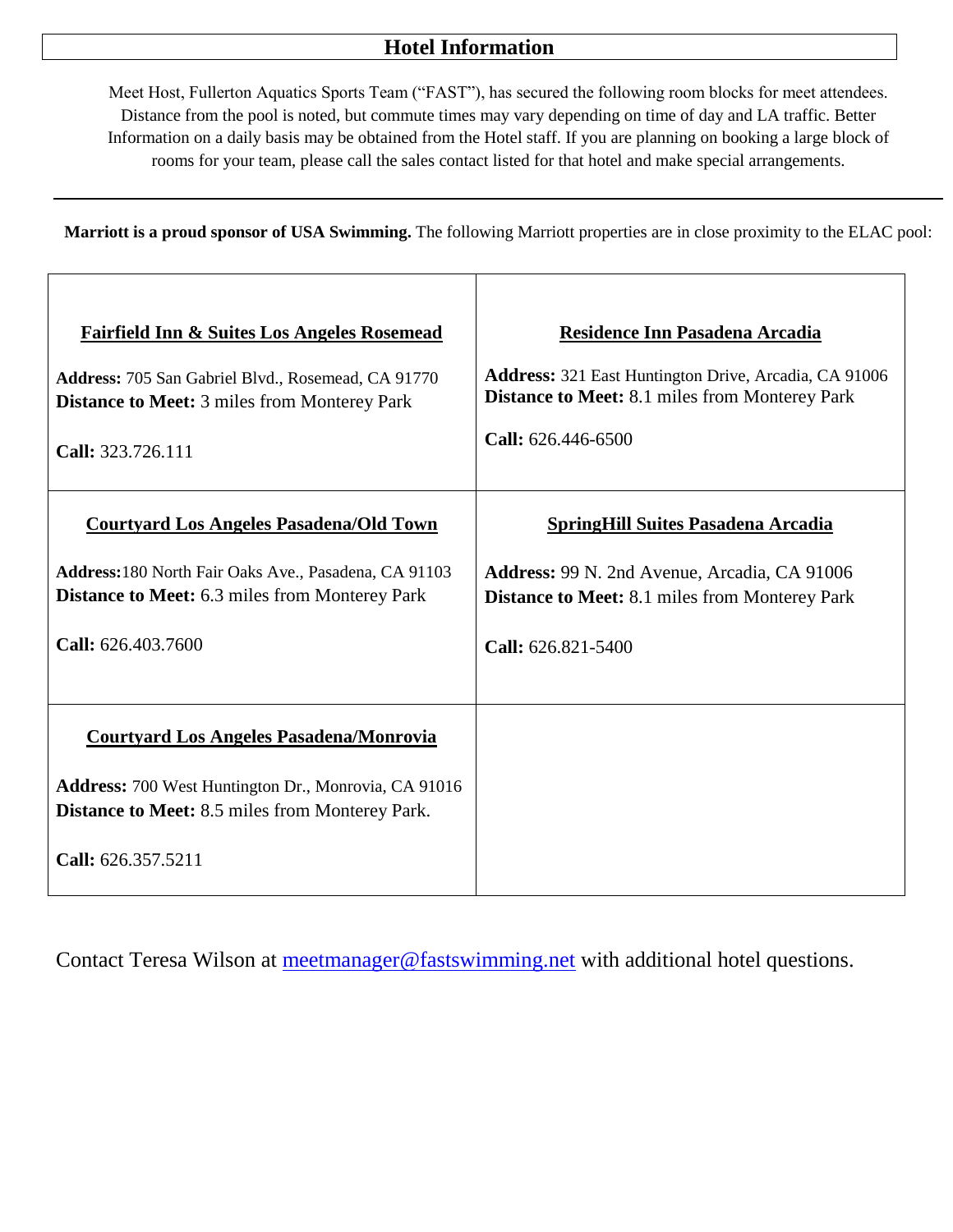# **Hotel Information**

Meet Host, Fullerton Aquatics Sports Team ("FAST"), has secured the following room blocks for meet attendees. Distance from the pool is noted, but commute times may vary depending on time of day and LA traffic. Better Information on a daily basis may be obtained from the Hotel staff. If you are planning on booking a large block of rooms for your team, please call the sales contact listed for that hotel and make special arrangements.

**Marriott is a proud sponsor of USA Swimming.** The following Marriott properties are in close proximity to the ELAC pool:

| <b>Fairfield Inn &amp; Suites Los Angeles Rosemead</b>                                                                                                                                 | Residence Inn Pasadena Arcadia                               |
|----------------------------------------------------------------------------------------------------------------------------------------------------------------------------------------|--------------------------------------------------------------|
| Address: 705 San Gabriel Blvd., Rosemead, CA 91770                                                                                                                                     | <b>Address:</b> 321 East Huntington Drive, Arcadia, CA 91006 |
| <b>Distance to Meet: 3 miles from Monterey Park</b>                                                                                                                                    | <b>Distance to Meet:</b> 8.1 miles from Monterey Park        |
| Call: 323.726.111                                                                                                                                                                      | Call: 626.446-6500                                           |
| <b>Courtyard Los Angeles Pasadena/Old Town</b>                                                                                                                                         | <b>SpringHill Suites Pasadena Arcadia</b>                    |
| Address: 180 North Fair Oaks Ave., Pasadena, CA 91103                                                                                                                                  | Address: 99 N. 2nd Avenue, Arcadia, CA 91006                 |
| <b>Distance to Meet:</b> 6.3 miles from Monterey Park                                                                                                                                  | <b>Distance to Meet:</b> 8.1 miles from Monterey Park        |
| Call: 626.403.7600                                                                                                                                                                     | Call: 626.821-5400                                           |
| <b>Courtyard Los Angeles Pasadena/Monrovia</b><br>Address: 700 West Huntington Dr., Monrovia, CA 91016<br><b>Distance to Meet:</b> 8.5 miles from Monterey Park.<br>Call: 626.357.5211 |                                                              |

Contact Teresa Wilson at [meetmanager@fastswimming.net](mailto:meetmanager@fastswimming.net) with additional hotel questions.